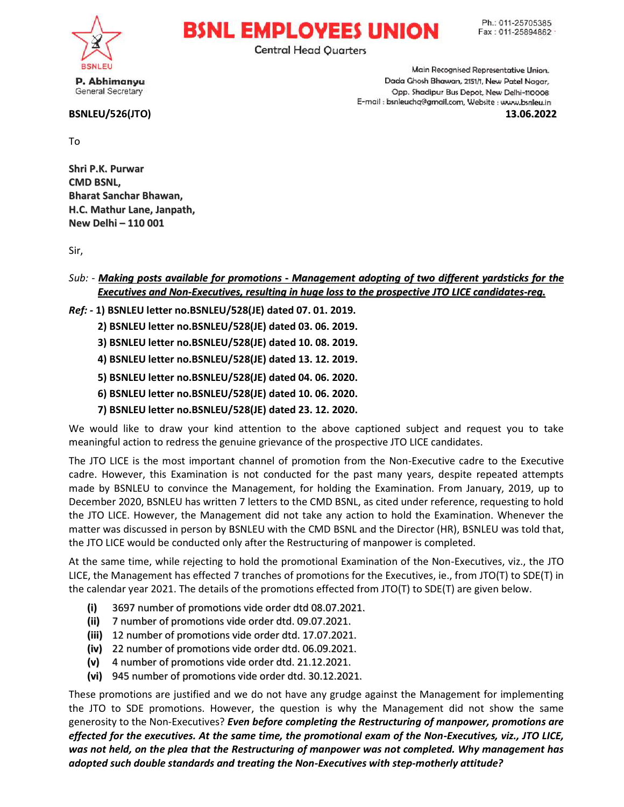

P. Abhimanyu General Secretary

## BSNLEU/526(JTO) /

**BSNL EMPLOYEES UNION Central Head Quarters** 

Main Recognised Representative Union. Dada Ghosh Bhawan, 2151/1, New Patel Nagar, Opp. Shadipur Bus Depot, New Delhi-110008 E-mail : bsnleuchq@gmail.com, Website : www.bsnleu.in

13.06.2022

To

Shri P.K. Purwar CMD BSNL, Bharat Sanchar Bhawan, H.C. Mathur Lane, Janpath, New Delhi – 110 001

Sir,

## Sub: - <mark>Making posts available for promotions - Management adopting of two different yardsticks for the</mark> <u>Executives and Non-Executives, resulting in huge loss to the prospective JTO LICE candidates-reg.</u>

## Ref: - 1) BSNLEU letter no.BSNLEU/528(JE) dated 07. 01. 2019.

2) BSNLEU letter no.BSNLEU/528(JE) dated 03. 06. 2019. 1) BSNLEU letter no.BSNLEU/528(JE) dated 07. 01. 2019.<br>2) BSNLEU letter no.BSNLEU/528(JE) dated 03. 06. 2019.<br>3) BSNLEU letter no.BSNLEU/528(JE) dated 10. 08. 2019.

3) BSNLEU letter no.BSNLEU/528(JE) date

4) BSNLEU letter no.BSNLEU/528(JE) dated 13. 12. 2019.

5) BSNLEU letter no.BSNLEU/528(JE) dated 04. 06. 2020. 4) BSNLEU<br>5) BSNLEU<br>6) BSNLEU<br>7) BSNLEU

6) BSNLEU letter no.BSNLEU/528(JE) dated 10. 06. 2020.

7) BSNLEU letter no.BSNLEU/528(JE) dated 23. 12. 2020.

We would like to draw your kind attention to the above captioned subject and request you to take meaningful action to redress the genuine grievance of the prospective JTO LICE candidates. We would like to draw your kind attention to the above captioned subject and request you to take<br>meaningful action to redress the genuine grievance of the prospective JTO LICE candidates.<br>The JTO LICE is the most important

cadre. However, this Examination is not conducted for the past many years, despite repeated attempts made by BSNLEU to convince the Management, for holding the Examination. From January, 2019, up to December 2020, BSNLEU has written 7 letters to the CMD BSNL, as cited under reference, requesting to hold the JTO LICE. However, the Management did not take any action to hold the Examination. Whenever the matter was discussed in person by BSNLEU with the CMD BSNL and the Director (HR), BSNLEU was told that,<br>the JTO LICE would be conducted only after the Restructuring of manpower is completed.<br>At the same time, while rejecti the JTO LICE would be conducted only after the Restructuring of manpower is completed. cited under reference, requesting to hold<br>to hold the Examination. Whenever the<br>the Director (HR), BSNLEU was told that,

At the same time, while rejecting to hold the promotional Examination of the Non LICE, the Management has effected 7 tranches of promotions for the Executives, ie., from JTO(T) to SDE(T) in the calendar year 2021. The details of the promotions effected from JTO(T) to SDE(T) are given below. the promotional Examination of the Non-Executives, viz., the JT<br>ches of promotions for the Executives, ie., from JTO(T) to SDE(T)<br>promotions effected from JTO(T) to SDE(T) are given below.<br>e order dtd. 09.07.2021.<br>der dtd.

- (i) 3697 number of promotions vide order dtd 08.07.2021.
- (ii) 7 number of promotions vide order dtd. 09.07.2021.
- (iii) 12 number of promotions vide order dtd. 17.07.2021.
- (iv) 22 number of promotions vide order dtd. 06.09.2021.
- $(v)$  4 number of promotions vide order dtd. 21.12.2021.
- (vi) 945 number of promotions s vide order dtd. 30.12.2021.

These promotions are justified and we do not have any grudge against the Management for implementing<br>the JTO to SDE promotions. However, the question is why the Management did not show the same the JTO to SDE promotions. However, the question is why the Management did not show the same generosity to the Non-Executives? Even before completing the Restructuring of manpower, promotions are effected for the executives. At the same time, the promotional exam of the Non-Executives, viz., JTO LICE, effected for the executives. At the same time, the promotional exam of the Non-Executives, viz., JTO LICE,<br>was not held, on the plea that the Restructuring of manpower was not completed. Why management has<br>adopted such dou adopted such double standards and treating the Non-Executives with step-motherly attitude?